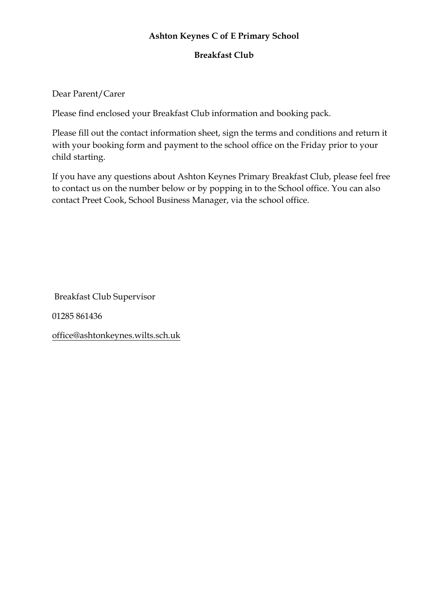## **Ashton Keynes C of E Primary School**

## **Breakfast Club**

## Dear Parent/Carer

Please find enclosed your Breakfast Club information and booking pack.

Please fill out the contact information sheet, sign the terms and conditions and return it with your booking form and payment to the school office on the Friday prior to your child starting.

If you have any questions about Ashton Keynes Primary Breakfast Club, please feel free to contact us on the number below or by popping in to the School office. You can also contact Preet Cook, School Business Manager, via the school office.

Breakfast Club Supervisor

01285 861436

office@ashtonkeynes.wilts.sch.uk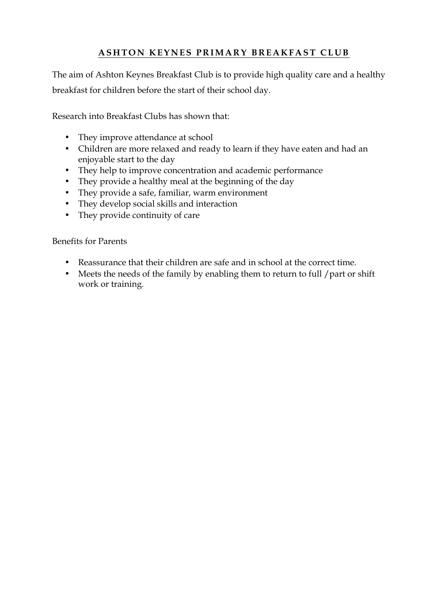## **ASHTON KEYNES PRIMAR Y BREAKFAST CLUB**

The aim of Ashton Keynes Breakfast Club is to provide high quality care and a healthy breakfast for children before the start of their school day.

Research into Breakfast Clubs has shown that:

- They improve attendance at school
- Children are more relaxed and ready to learn if they have eaten and had an enjoyable start to the day
- They help to improve concentration and academic performance
- They provide a healthy meal at the beginning of the day
- They provide a safe, familiar, warm environment
- They develop social skills and interaction
- They provide continuity of care

#### Benefits for Parents

- Reassurance that their children are safe and in school at the correct time.
- Meets the needs of the family by enabling them to return to full / part or shift work or training.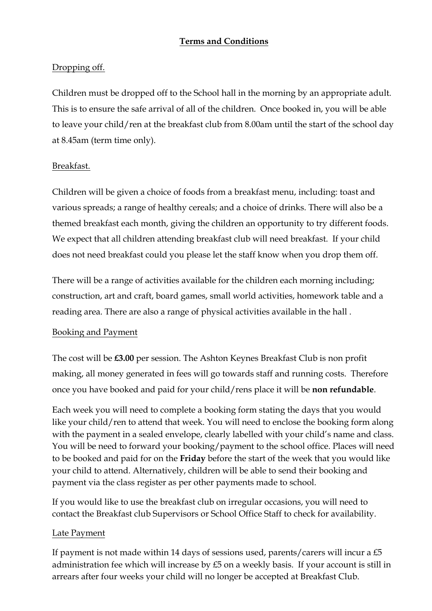## **Terms and Conditions**

## Dropping off.

Children must be dropped off to the School hall in the morning by an appropriate adult. This is to ensure the safe arrival of all of the children. Once booked in, you will be able to leave your child/ren at the breakfast club from 8.00am until the start of the school day at 8.45am (term time only).

## Breakfast.

Children will be given a choice of foods from a breakfast menu, including: toast and various spreads; a range of healthy cereals; and a choice of drinks. There will also be a themed breakfast each month, giving the children an opportunity to try different foods. We expect that all children attending breakfast club will need breakfast. If your child does not need breakfast could you please let the staff know when you drop them off.

There will be a range of activities available for the children each morning including; construction, art and craft, board games, small world activities, homework table and a reading area. There are also a range of physical activities available in the hall .

## Booking and Payment

The cost will be **£3.00** per session. The Ashton Keynes Breakfast Club is non profit making, all money generated in fees will go towards staff and running costs. Therefore once you have booked and paid for your child/rens place it will be **non refundable**.

Each week you will need to complete a booking form stating the days that you would like your child/ren to attend that week. You will need to enclose the booking form along with the payment in a sealed envelope, clearly labelled with your child's name and class. You will be need to forward your booking/payment to the school office. Places will need to be booked and paid for on the **Friday** before the start of the week that you would like your child to attend. Alternatively, children will be able to send their booking and payment via the class register as per other payments made to school.

If you would like to use the breakfast club on irregular occasions, you will need to contact the Breakfast club Supervisors or School Office Staff to check for availability.

## Late Payment

If payment is not made within 14 days of sessions used, parents/carers will incur a  $£5$ administration fee which will increase by £5 on a weekly basis. If your account is still in arrears after four weeks your child will no longer be accepted at Breakfast Club.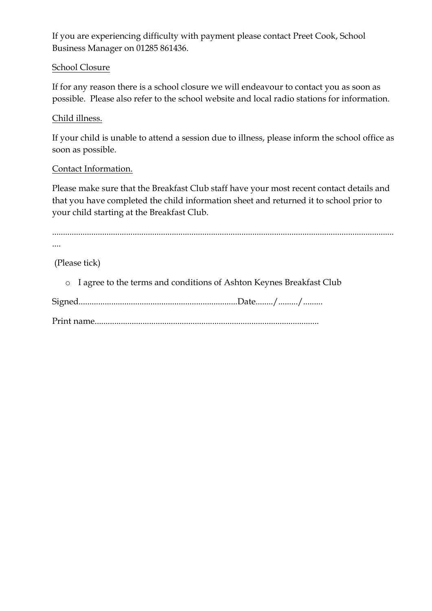If you are experiencing difficulty with payment please contact Preet Cook, School Business Manager on 01285 861436.

#### School Closure

If for any reason there is a school closure we will endeavour to contact you as soon as possible. Please also refer to the school website and local radio stations for information.

#### Child illness.

If your child is unable to attend a session due to illness, please inform the school office as soon as possible.

#### Contact Information.

Please make sure that the Breakfast Club staff have your most recent contact details and that you have completed the child information sheet and returned it to school prior to your child starting at the Breakfast Club.

| $\cdots$ |  |  |
|----------|--|--|

(Please tick)

| o I agree to the terms and conditions of Ashton Keynes Breakfast Club |
|-----------------------------------------------------------------------|
|                                                                       |
|                                                                       |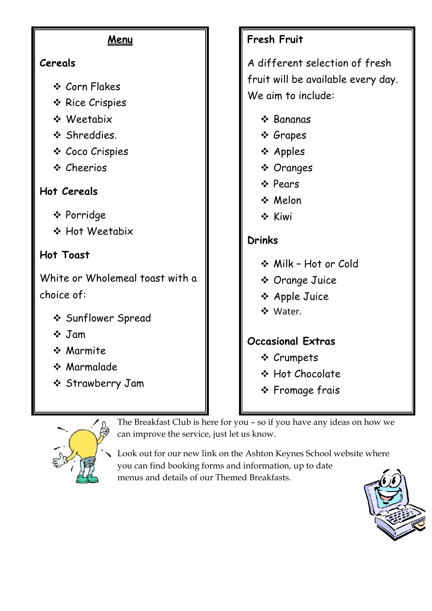| <u>Menu</u>                                                                                     | <b>Fresh Fruit</b>                                                                                         |
|-------------------------------------------------------------------------------------------------|------------------------------------------------------------------------------------------------------------|
| Cereals                                                                                         | A different selection of fresh                                                                             |
| ❖ Corn Flakes<br>* Rice Crispies<br>❖ Weetabix<br>❖ Shreddies.<br>❖ Coco Crispies<br>❖ Cheerios | fruit will be available every day.<br>We aim to include:<br>❖ Bananas<br>❖ Grapes<br>❖ Apples<br>❖ Oranges |
| <b>Hot Cereals</b><br>❖ Porridge                                                                | ❖ Pears<br>❖ Melon<br>❖ Kiwi                                                                               |
| ❖ Hot Weetabix                                                                                  | <b>Drinks</b>                                                                                              |
| <b>Hot Toast</b>                                                                                | ❖ Milk - Hot or Cold                                                                                       |
| White or Wholemeal toast with a<br>choice of:                                                   | ❖ Orange Juice<br>❖ Apple Juice<br>❖ Water.                                                                |
| ❖ Sunflower Spread<br>$\div$ Jam<br>❖ Marmite<br>* Marmalade<br>❖ Strawberry Jam                | <b>Occasional Extras</b><br>❖ Crumpets<br>❖ Hot Chocolate<br>❖ Fromage frais                               |



The Breakfast Club is here for you – so if you have any ideas on how we can improve the service, just let us know.

Look out for our new link on the Ashton Keynes School website where you can find booking forms and information, up to date menus and details of our Themed Breakfasts.

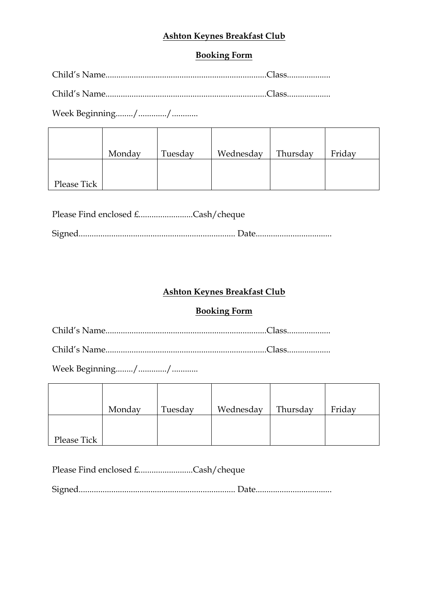## **Ashton Keynes Breakfast Club**

## **Booking Form**

Child's Name..........................................................................Class....................

Child's Name..........................................................................Class....................

Week Beginning......../............./............

|             | Monday | Tuesday | Wednesday | Thursday | Friday |
|-------------|--------|---------|-----------|----------|--------|
| Please Tick |        |         |           |          |        |

| Please Find enclosed £Cash/cheque |  |
|-----------------------------------|--|
|                                   |  |

## **Ashton Keynes Breakfast Club**

#### **Booking Form**

Child's Name..........................................................................Class....................

Child's Name..........................................................................Class....................

Week Beginning......../............./............

|             | Monday | Tuesday | Wednesday | Thursday | Friday |
|-------------|--------|---------|-----------|----------|--------|
|             |        |         |           |          |        |
| Please Tick |        |         |           |          |        |

Please Find enclosed £.........................Cash/cheque

Signed........................................................................ Date...................................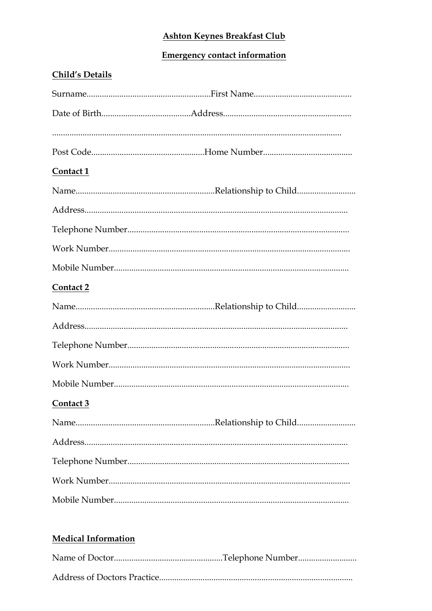## **Ashton Keynes Breakfast Club**

# **Emergency contact information**

| <b>Child's Details</b> |
|------------------------|
|                        |
|                        |
|                        |
|                        |
| Contact 1              |
|                        |
|                        |
|                        |
|                        |
|                        |
| Contact 2              |
|                        |
|                        |
|                        |
|                        |
|                        |
| Contact 3              |
|                        |
|                        |
|                        |
|                        |
|                        |
|                        |

# **Medical Information**